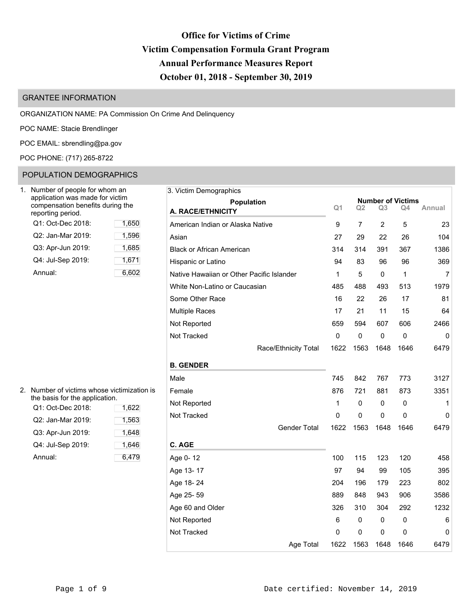# **Office for Victims of Crime Victim Compensation Formula Grant Program Annual Performance Measures Report October 01, 2018 - September 30, 2019**

# GRANTEE INFORMATION

ORGANIZATION NAME: PA Commission On Crime And Delinquency

POC NAME: Stacie Brendlinger

POC EMAIL: [sbrendling@pa.gov](mailto:sbrendling@pa.gov)

POC PHONE: (717) 265-8722

# POPULATION DEMOGRAPHICS

| Number of people for whom an<br>application was made for victim<br>compensation benefits during the<br>reporting period. |       |
|--------------------------------------------------------------------------------------------------------------------------|-------|
| Q1: Oct-Dec 2018:                                                                                                        | 1,650 |
| Q2: Jan-Mar 2019:                                                                                                        | 1,596 |
| Q3: Apr-Jun 2019:                                                                                                        | 1,685 |
| Q4: Jul-Sep 2019:                                                                                                        | 1,671 |
| Annual:                                                                                                                  | 6.602 |

| 2. Number of victims whose victimization is<br>the basis for the application. |       | Female   |
|-------------------------------------------------------------------------------|-------|----------|
| Q1: Oct-Dec 2018:                                                             | 1,622 | Not Rep  |
| Q2: Jan-Mar 2019:                                                             | 1,563 | Not Trac |
| Q3: Apr-Jun 2019:                                                             | 1,648 |          |
| Q4: Jul-Sep 2019:                                                             | 1,646 | C. AGE   |
| Annual:                                                                       | 6,479 | Age 0-1  |

| Number of people for whom an                         |       | 3. Victim Demographics                    |                |             |                |                          |                |
|------------------------------------------------------|-------|-------------------------------------------|----------------|-------------|----------------|--------------------------|----------------|
| application was made for victim                      |       | <b>Population</b>                         |                |             |                | <b>Number of Victims</b> |                |
| compensation benefits during the<br>eporting period. |       | A. RACE/ETHNICITY                         | Q <sub>1</sub> | Q2          | Q3             | Q4                       | Annual         |
| Q1: Oct-Dec 2018:                                    | 1,650 | American Indian or Alaska Native          | 9              | 7           | $\overline{2}$ | 5                        | 23             |
| Q2: Jan-Mar 2019:                                    | 1,596 | Asian                                     | 27             | 29          | 22             | 26                       | 104            |
| Q3: Apr-Jun 2019:                                    | 1,685 | <b>Black or African American</b>          | 314            | 314         | 391            | 367                      | 1386           |
| Q4: Jul-Sep 2019:                                    | 1,671 | Hispanic or Latino                        | 94             | 83          | 96             | 96                       | 369            |
| Annual:                                              | 6,602 | Native Hawaiian or Other Pacific Islander | 1              | 5           | 0              | $\mathbf{1}$             | $\overline{7}$ |
|                                                      |       | White Non-Latino or Caucasian             | 485            | 488         | 493            | 513                      | 1979           |
|                                                      |       | Some Other Race                           | 16             | 22          | 26             | 17                       | 81             |
|                                                      |       | <b>Multiple Races</b>                     | 17             | 21          | 11             | 15                       | 64             |
|                                                      |       | Not Reported                              | 659            | 594         | 607            | 606                      | 2466           |
|                                                      |       | Not Tracked                               | $\pmb{0}$      | $\mathbf 0$ | 0              | 0                        | 0              |
|                                                      |       | Race/Ethnicity Total                      | 1622           | 1563        | 1648           | 1646                     | 6479           |
|                                                      |       | <b>B. GENDER</b>                          |                |             |                |                          |                |
|                                                      |       | Male                                      | 745            | 842         | 767            | 773                      | 3127           |
| Number of victims whose victimization is             |       | Female                                    | 876            | 721         | 881            | 873                      | 3351           |
| he basis for the application.<br>Q1: Oct-Dec 2018:   | 1,622 | Not Reported                              | $\mathbf{1}$   | 0           | $\mathbf 0$    | 0                        | 1              |
| Q2: Jan-Mar 2019:                                    | 1,563 | Not Tracked                               | 0              | 0           | 0              | 0                        | $\mathbf{0}$   |
| Q3: Apr-Jun 2019:                                    | 1,648 | <b>Gender Total</b>                       | 1622           | 1563        | 1648           | 1646                     | 6479           |
| Q4: Jul-Sep 2019:                                    | 1,646 | C. AGE                                    |                |             |                |                          |                |
| Annual:                                              | 6,479 | Age 0-12                                  | 100            | 115         | 123            | 120                      | 458            |
|                                                      |       | Age 13-17                                 | 97             | 94          | 99             | 105                      | 395            |
|                                                      |       | Age 18-24                                 | 204            | 196         | 179            | 223                      | 802            |
|                                                      |       | Age 25-59                                 | 889            | 848         | 943            | 906                      | 3586           |
|                                                      |       | Age 60 and Older                          | 326            | 310         | 304            | 292                      | 1232           |
|                                                      |       | Not Reported                              | 6              | 0           | 0              | $\Omega$                 | 6              |
|                                                      |       | Not Tracked                               | 0              | 0           | 0              | 0                        | 0              |
|                                                      |       | Age Total                                 | 1622           | 1563        | 1648           | 1646                     | 6479           |
|                                                      |       |                                           |                |             |                |                          |                |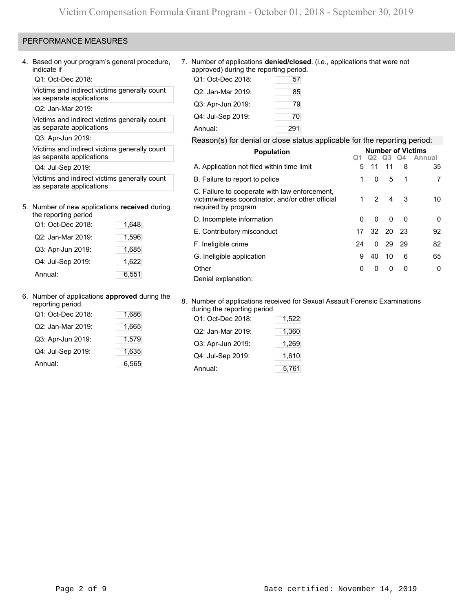# PERFORMANCE MEASURES

4. Based on your program's general procedure, indicate if

Q1: Oct-Dec 2018:

Victims and indirect victims generally count as separate applications

Q2: Jan-Mar 2019:

Victims and indirect victims generally count as separate applications

Q3: Apr-Jun 2019:

Victims and indirect victims generally count as separate applications

Q4: Jul-Sep 2019:

Victims and indirect victims generally count as separate applications

# 5. Number of new applications **received** during

| the reporting period |       |
|----------------------|-------|
| Q1: Oct-Dec 2018:    | 1,648 |
| Q2: Jan-Mar 2019:    | 1,596 |
| Q3: Apr-Jun 2019:    | 1.685 |
| Q4: Jul-Sep 2019:    | 1,622 |
| Annual:              | 6,551 |

### 6. Number of applications **approved** during the

| reporting period. |       |
|-------------------|-------|
| Q1: Oct-Dec 2018: | 1,686 |
| Q2: Jan-Mar 2019: | 1,665 |
| Q3: Apr-Jun 2019: | 1,579 |
| Q4: Jul-Sep 2019: | 1,635 |
| Annual:           | 6,565 |

7. Number of applications **denied/closed**. (i.e., applications that were not approved) during the reporting period.

| Q1: Oct-Dec 2018: | 57  |
|-------------------|-----|
| Q2: Jan-Mar 2019: | 85  |
| Q3: Apr-Jun 2019: | 79  |
| Q4: Jul-Sep 2019: | 70  |
| Annual:           | 291 |

## Reason(s) for denial or close status applicable for the reporting period:

| <b>Population</b>                                                                                                         |          |               |          |     | <b>Number of Victims</b> |
|---------------------------------------------------------------------------------------------------------------------------|----------|---------------|----------|-----|--------------------------|
|                                                                                                                           |          | Q2 -          | Q3 Q4    |     | Annual                   |
| A. Application not filed within time limit                                                                                | 5        | 11            | 11       | 8   | 35                       |
| B. Failure to report to police                                                                                            | 1        | 0             | 5        | 1   | 7                        |
| C. Failure to cooperate with law enforcement,<br>victim/witness coordinator, and/or other official<br>required by program | 1        | $\mathcal{P}$ | 4        | 3   | 10                       |
| D. Incomplete information                                                                                                 | $\Omega$ | $\Omega$      | $\Omega$ | 0   | 0                        |
| E. Contributory misconduct                                                                                                | 17       |               | 32 20 23 |     | 92                       |
| F. Ineligible crime                                                                                                       | 24       | 0             | 29       | -29 | 82                       |
| G. Ineligible application                                                                                                 | 9        | 40            | 10       | 6   | 65                       |
| Other                                                                                                                     | 0        | 0             | 0        | 0   | 0                        |
| Denial explanation:                                                                                                       |          |               |          |     |                          |

### 8. Number of applications received for Sexual Assault Forensic Examinations during the reporting period

| Q1: Oct-Dec 2018: | 1,522 |
|-------------------|-------|
| Q2: Jan-Mar 2019: | 1,360 |
| Q3: Apr-Jun 2019: | 1,269 |
| Q4: Jul-Sep 2019: | 1,610 |
| Annual:           | 5,761 |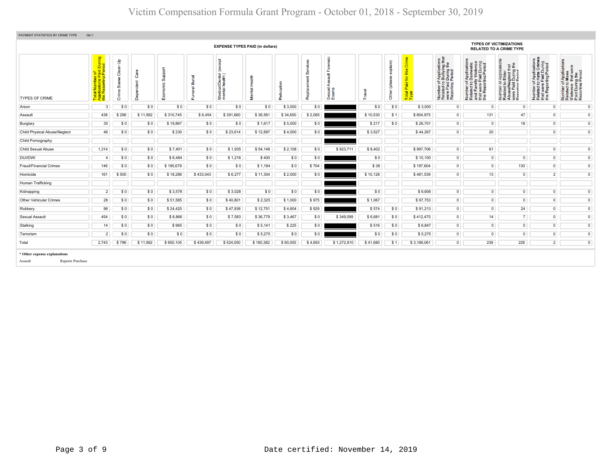| PAYMENT STATISTICS BY CRIME TYPE                            | Qtr:1                                                                                 |                                                                    |          |               |                       |                                              |                           |            |              |                                     |          |                      |                                                           |                                                                                                                                        |                                                                                                                       |                                                                                                                                                           |                                                                                                   |                                                                                                        |
|-------------------------------------------------------------|---------------------------------------------------------------------------------------|--------------------------------------------------------------------|----------|---------------|-----------------------|----------------------------------------------|---------------------------|------------|--------------|-------------------------------------|----------|----------------------|-----------------------------------------------------------|----------------------------------------------------------------------------------------------------------------------------------------|-----------------------------------------------------------------------------------------------------------------------|-----------------------------------------------------------------------------------------------------------------------------------------------------------|---------------------------------------------------------------------------------------------------|--------------------------------------------------------------------------------------------------------|
|                                                             |                                                                                       |                                                                    |          |               |                       | <b>EXPENSE TYPES PAID (in dollars)</b>       |                           |            |              |                                     |          |                      |                                                           |                                                                                                                                        |                                                                                                                       | <b>TYPES OF VICTIMIZATIONS</b><br><b>RELATED TO A CRIME TYPE</b>                                                                                          |                                                                                                   |                                                                                                        |
| <b>TYPES OF CRIME</b>                                       | tal Number of<br>plications Paid During<br>∍ Reporting Period<br>Tota<br>App<br>the I | $\mathbf{s}$<br>ౚ<br>පී<br>ዎ<br>Sœ<br>$\overline{\mathbf{0}}$<br>ŏ | Ö<br>å   | ppo<br>ō<br>ш | eral Burial<br>S<br>ū | except<br>Medical/Dental (<br>mental health) | $\overline{\mathfrak{g}}$ | ation<br>å | ⊭<br>ᄒ<br>စု | ensic<br>ţ<br>⋖<br>Sexual.<br>Exams | ravel    | (qiap)<br>Ğ<br>Other | $\omega$<br>Ξ<br>$\overline{\mathbf{c}}$<br>Total<br>Type | f Applications<br>b Bullying that<br>I During the<br>Period<br>Number of <i>I</i><br>Related to <b>I</b><br>were Paid L<br>Reporting P | Number of Applications<br>Related to Domestic<br>and Family Violence<br>that were Paid During<br>the Reporting Period | <b>¤∄</b><br>r Applica<br>Elder<br>Ouring 1<br>During 1<br>Period<br>Number of <i>I</i><br>Related to <b>E</b><br>Abuse/Neg<br>were Paid I<br>Reporting P | Number of Applications<br>Related to Hate Crimes<br>that were Paid During<br>the Reporting Period | Number of Applications<br>Related to Mass<br>Violence that were<br>Paid During the<br>Reporting Period |
| Arson                                                       | $\mathbf{3}$                                                                          | \$0                                                                | \$0      | \$0           | \$0                   | \$0                                          | \$0                       | \$3,000    | \$0          |                                     | \$0      | \$0                  | \$3.000                                                   | $\mathbf 0$                                                                                                                            | $\overline{0}$                                                                                                        | $\circ$                                                                                                                                                   | $\circ$                                                                                           | $\circ$                                                                                                |
| Assault                                                     | 438                                                                                   | \$296                                                              | \$11,992 | \$310,745     | \$6,454               | \$391,660                                    | \$36,561                  | \$34,650   | \$2,085      |                                     | \$10,530 | \$1                  | \$804,975                                                 | $\overline{0}$                                                                                                                         | 131                                                                                                                   | 47                                                                                                                                                        | $\circ$                                                                                           | $\overline{0}$                                                                                         |
| Burglary                                                    | 35                                                                                    | \$0                                                                | \$0      | \$19,867      | \$0                   | \$0                                          | \$1,617                   | \$5,000    | \$0          |                                     | \$217    | \$0                  | \$26,701                                                  | $\overline{0}$                                                                                                                         | $\overline{0}$                                                                                                        | 18                                                                                                                                                        | $\mathbf{0}$                                                                                      | $\circ$                                                                                                |
| Child Physical Abuse/Neglect                                | 46                                                                                    | \$0                                                                | \$0      | \$230         | \$0                   | \$23,614                                     | \$12,897                  | \$4,000    | \$0          |                                     | \$3,527  |                      | \$44,267                                                  | $\overline{0}$                                                                                                                         | 20                                                                                                                    |                                                                                                                                                           | $\mathsf 0$                                                                                       | $\mathsf 0$                                                                                            |
| Child Pornography                                           |                                                                                       |                                                                    |          |               |                       |                                              |                           |            |              |                                     |          |                      |                                                           |                                                                                                                                        |                                                                                                                       |                                                                                                                                                           |                                                                                                   |                                                                                                        |
| Child Sexual Abuse                                          | 1,314                                                                                 | \$0                                                                | \$0      | \$7,401       | \$0                   | \$1,935                                      | \$54,148                  | \$2,108    | \$0          | \$923,711                           | \$8,402  |                      | \$997,706                                                 | $\overline{0}$                                                                                                                         | 61                                                                                                                    |                                                                                                                                                           | $\overline{0}$                                                                                    | $\overline{0}$                                                                                         |
| <b>DUI/DWI</b>                                              | $\overline{4}$                                                                        | \$0                                                                | \$0      | \$8,484       | \$0                   | \$1,216                                      | \$400                     | \$0        | \$0          |                                     | \$0      |                      | \$10,100                                                  | $\overline{0}$                                                                                                                         | $\circ$                                                                                                               | $\overline{0}$                                                                                                                                            | $\mathsf 0$                                                                                       | $\mathbf{0}$                                                                                           |
| <b>Fraud/Financial Crimes</b>                               | 146                                                                                   | \$0                                                                | \$0      | \$195,679     | \$0                   | \$0                                          | \$1,184                   | \$0        | \$704        |                                     | \$38     |                      | \$197,604                                                 | $\overline{0}$                                                                                                                         | $\mathbf{0}$                                                                                                          | 130                                                                                                                                                       | $\overline{0}$                                                                                    | $\overline{0}$                                                                                         |
| Homicide                                                    | 161                                                                                   | \$500                                                              | \$0      | \$18,286      | \$433,043             | \$6,277                                      | \$11,304                  | \$2,000    | \$0          |                                     | \$10,128 |                      | \$481,539                                                 | $\overline{0}$                                                                                                                         | 13                                                                                                                    | $\circ$                                                                                                                                                   | $\overline{2}$                                                                                    | $\circ$                                                                                                |
| Human Trafficking                                           |                                                                                       |                                                                    |          |               |                       |                                              |                           |            |              |                                     |          |                      |                                                           |                                                                                                                                        |                                                                                                                       |                                                                                                                                                           |                                                                                                   |                                                                                                        |
| Kidnapping                                                  | $\overline{2}$                                                                        | \$0                                                                | \$0      | \$3,578       | \$0                   | \$3,028                                      | \$0                       | \$0        | \$0          |                                     | \$0      |                      | \$6,606                                                   | $\overline{0}$                                                                                                                         | $\overline{0}$                                                                                                        | $\overline{0}$                                                                                                                                            | $\mathbf{0}$                                                                                      | $\circ$                                                                                                |
| Other Vehicular Crimes                                      | 28                                                                                    | \$0                                                                | \$0      | \$51,585      | \$0                   | \$40,801                                     | \$2,325                   | \$1,000    | \$975        |                                     | \$1,067  |                      | \$97,753                                                  | $\overline{0}$                                                                                                                         | $\mathbf{0}$                                                                                                          | $\mathbf 0$                                                                                                                                               | $\overline{0}$                                                                                    | $\overline{0}$                                                                                         |
| Robbery                                                     | 96                                                                                    | \$0                                                                | \$0      | \$24,420      | \$0                   | \$47,936                                     | \$12,751                  | \$4,604    | \$929        |                                     | \$574    | \$0                  | \$91,213                                                  | $\overline{0}$                                                                                                                         | $\overline{0}$                                                                                                        | 24                                                                                                                                                        | $\overline{0}$                                                                                    | $\mathbf{0}$                                                                                           |
| Sexual Assault                                              | 454                                                                                   | \$0                                                                | \$0      | \$8,866       | \$0                   | \$7,583                                      | \$36,779                  | \$3,467    | \$0          | \$349,099                           | \$6,681  | \$0                  | \$412,475                                                 | $\overline{0}$                                                                                                                         | 14                                                                                                                    | $7\overline{ }$                                                                                                                                           | $\circ$                                                                                           | $\overline{0}$                                                                                         |
| Stalking                                                    | 14                                                                                    | \$0                                                                | \$0      | \$965         | \$0                   | \$0                                          | \$5,141                   | \$225      | \$0          |                                     | \$516    | \$0                  | \$6,847                                                   | $\overline{0}$                                                                                                                         | $\overline{0}$                                                                                                        | $\overline{0}$                                                                                                                                            | $\overline{0}$                                                                                    | $\mathbf 0$                                                                                            |
| Terrorism                                                   | $\overline{2}$                                                                        | \$0                                                                | \$0      | \$0           | \$0                   | \$0                                          | \$5,275                   | \$0        | \$0          |                                     | \$0      | \$0                  | \$5,275                                                   | $\overline{0}$                                                                                                                         | $\mathbf 0$                                                                                                           | $\circ$                                                                                                                                                   | $\overline{0}$                                                                                    | $\overline{0}$                                                                                         |
| Total                                                       | 2.743                                                                                 | \$796                                                              | \$11,992 | \$650,105     | \$439,497             | \$524,050                                    | \$180,382                 | \$60,055   | \$4,693      | \$1,272,810                         | \$41,680 | \$1                  | \$3,186,061                                               | $\mathbf{0}$                                                                                                                           | 239                                                                                                                   | 226                                                                                                                                                       | $\overline{2}$                                                                                    | $\mathbf 0$                                                                                            |
| * Other expense explanations<br>Reports Purchase<br>Assault |                                                                                       |                                                                    |          |               |                       |                                              |                           |            |              |                                     |          |                      |                                                           |                                                                                                                                        |                                                                                                                       |                                                                                                                                                           |                                                                                                   |                                                                                                        |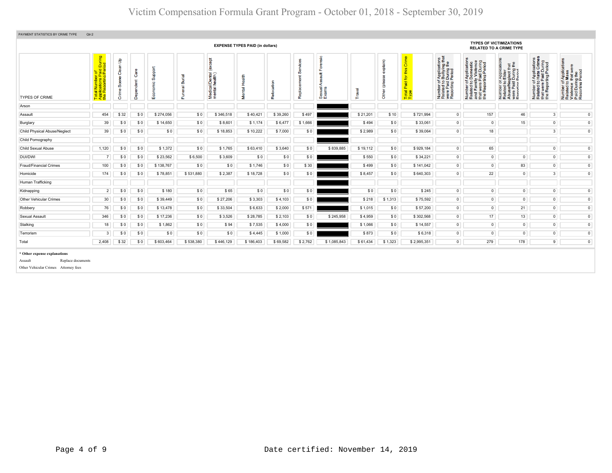# Victim Compensation Formula Grant Program - October 01, 2018 - September 30, 2019

| PAYMENT STATISTICS BY CRIME TYPE                                                                     | Qtr:2                                                                                                               |                                  |                       |                        |                         |                                                        |                                        |                                                                   |                                                                                                                                     |                                                                                                                       |                                                                                                                                                        |                                                                                                   |                                                                                                    |                |                                |                                |                |                |
|------------------------------------------------------------------------------------------------------|---------------------------------------------------------------------------------------------------------------------|----------------------------------|-----------------------|------------------------|-------------------------|--------------------------------------------------------|----------------------------------------|-------------------------------------------------------------------|-------------------------------------------------------------------------------------------------------------------------------------|-----------------------------------------------------------------------------------------------------------------------|--------------------------------------------------------------------------------------------------------------------------------------------------------|---------------------------------------------------------------------------------------------------|----------------------------------------------------------------------------------------------------|----------------|--------------------------------|--------------------------------|----------------|----------------|
|                                                                                                      |                                                                                                                     |                                  |                       |                        |                         |                                                        | <b>EXPENSE TYPES PAID (in dollars)</b> |                                                                   |                                                                                                                                     |                                                                                                                       |                                                                                                                                                        |                                                                                                   |                                                                                                    |                | <b>TYPES OF VICTIMIZATIONS</b> | <b>RELATED TO A CRIME TYPE</b> |                |                |
| TYPES OF CRIME                                                                                       | or or<br>i Paid During<br>ig Period<br><b>Number</b><br>cations<br>eporting<br>$\overline{\sigma}$<br>Total<br>Appl | ક<br>듦<br>రి<br>Sœne<br>ime<br>ò | are<br>Ő<br>Dependent | Support<br>nomic<br>E® | त्त<br>ā<br>uneral<br>ш | <b>Dept</b><br>ð<br>Medical/Dental (<br>mental health) | $\overline{\mathfrak{m}}$              | Crime<br>this<br>$\overline{\mathbf{g}}$<br>Paid<br>Total<br>Type | f Applications<br>b Bullying that<br>I During the<br>Period<br>Paid<br>Paid<br>Thing F<br>Number<br>Related<br>were Pai<br>Reportin | Number of Applications<br>Related to Domestic<br>and Family Violence<br>that were Paid During<br>the Reporting Period | T Application<br>b Elder<br>glect that<br>During the<br>Period<br>Number of <i>I</i><br>Related to <b>E</b><br>Abuse/Neg<br>were Paid I<br>Renorting P | Number of Applications<br>Related to Hate Crimes<br>that were Paid During<br>the Reporting Period | Number of Applicat<br>Related to Mass<br>Violence that were<br>Paid During the<br>Reporting Period |                |                                |                                |                |                |
| Arson                                                                                                |                                                                                                                     |                                  |                       |                        |                         |                                                        |                                        |                                                                   |                                                                                                                                     |                                                                                                                       |                                                                                                                                                        |                                                                                                   |                                                                                                    |                |                                |                                |                |                |
| Assault                                                                                              | 454                                                                                                                 | \$32                             | \$0                   | \$274,056              | \$0                     | \$346,518                                              | \$40,421                               | \$39,260                                                          | \$497                                                                                                                               |                                                                                                                       | \$21,201                                                                                                                                               | \$10                                                                                              | \$721,994                                                                                          | $\overline{0}$ | 157                            | 46                             | $\mathbf{3}$   | $\overline{0}$ |
| Burglary                                                                                             | 39                                                                                                                  | \$0                              | \$0                   | \$14,650               | \$0                     | \$8,601                                                | \$1,174                                | \$6,477                                                           | \$1,666                                                                                                                             |                                                                                                                       | \$494                                                                                                                                                  | \$0                                                                                               | \$33,061                                                                                           | $\overline{0}$ | $\overline{0}$                 | 15                             | $\mathbf{0}$   | $\mathbf{0}$   |
| Child Physical Abuse/Neglect                                                                         | 39                                                                                                                  | \$0                              | \$0                   | \$0                    | \$0                     | \$18,853                                               | \$10,222                               | \$7,000                                                           | \$0                                                                                                                                 |                                                                                                                       | \$2,989                                                                                                                                                | \$0                                                                                               | \$39,064                                                                                           | $\overline{0}$ | 18                             |                                | $\mathbf{3}$   | $\mathbf{0}$   |
| Child Pornography                                                                                    |                                                                                                                     |                                  |                       |                        |                         |                                                        |                                        |                                                                   |                                                                                                                                     |                                                                                                                       |                                                                                                                                                        |                                                                                                   |                                                                                                    |                |                                |                                |                |                |
| Child Sexual Abuse                                                                                   | 1,120                                                                                                               | \$0                              | \$0                   | \$1,372                | \$0                     | \$1,765                                                | \$63,410                               | \$3,640                                                           | \$0                                                                                                                                 | \$839,885                                                                                                             | \$19,112                                                                                                                                               | \$0                                                                                               | \$929,184                                                                                          | $\overline{0}$ | 65                             |                                | $\mathbf{0}$   | $\mathbf{0}$   |
| <b>DUI/DWI</b>                                                                                       | $\overline{7}$                                                                                                      | \$0                              | \$0                   | \$23,562               | \$6,500                 | \$3,609                                                | \$0                                    | \$0                                                               | \$0                                                                                                                                 |                                                                                                                       | \$550                                                                                                                                                  | \$0                                                                                               | \$34,221                                                                                           | $\overline{0}$ | $\circ$                        | $\overline{0}$                 | $\mathbf{0}$   | $\mathbf{0}$   |
| Fraud/Financial Crimes                                                                               | 100                                                                                                                 | \$0                              | \$0                   | \$138,767              | \$0                     | \$0                                                    | \$1,746                                | \$0                                                               | \$30                                                                                                                                |                                                                                                                       | \$499                                                                                                                                                  | \$0                                                                                               | \$141,042                                                                                          | $\overline{0}$ | $\overline{0}$                 | 83                             | $\overline{0}$ | $\overline{0}$ |
| Homicide                                                                                             | 174                                                                                                                 | \$0                              | \$0                   | \$78,851               | \$531,880               | \$2,387                                                | \$18,728                               | \$0                                                               | \$0                                                                                                                                 |                                                                                                                       | \$8,457                                                                                                                                                | \$0                                                                                               | \$640,303                                                                                          | $\overline{0}$ | 22                             | $\overline{0}$                 | 3 <sup>1</sup> | $\mathbf{0}$   |
| Human Trafficking                                                                                    |                                                                                                                     |                                  |                       |                        |                         |                                                        |                                        |                                                                   |                                                                                                                                     |                                                                                                                       |                                                                                                                                                        |                                                                                                   |                                                                                                    |                |                                |                                |                |                |
| Kidnapping                                                                                           | $\overline{2}$                                                                                                      | \$0                              | \$0                   | \$180                  | \$0                     | \$65                                                   | \$0                                    | \$0                                                               | \$0                                                                                                                                 |                                                                                                                       | \$0                                                                                                                                                    | \$0                                                                                               | \$245                                                                                              | $\overline{0}$ | $\overline{0}$                 | $\overline{0}$                 | $\overline{0}$ | $\overline{0}$ |
| Other Vehicular Crimes                                                                               | 30                                                                                                                  | \$0                              | \$0                   | \$39,449               | \$0                     | \$27,206                                               | \$3,303                                | \$4,103                                                           | \$0                                                                                                                                 |                                                                                                                       | \$218                                                                                                                                                  | \$1,313                                                                                           | \$75,592                                                                                           | $\overline{0}$ | $\overline{0}$                 | $\overline{0}$                 | $\mathbf{0}$   | $\mathbf{0}$   |
| Robbery                                                                                              | 76                                                                                                                  | \$0                              | \$0                   | \$13,478               | \$0                     | \$33,504                                               | \$6,633                                | \$2,000                                                           | \$571                                                                                                                               |                                                                                                                       | \$1,015                                                                                                                                                | \$0                                                                                               | \$57,200                                                                                           | $\overline{0}$ | $\circ$                        | 21                             | $\mathbf{0}$   | $\mathbf{0}$   |
| Sexual Assault                                                                                       | 346                                                                                                                 | \$0                              | \$0                   | \$17,236               | \$0                     | \$3,526                                                | \$28,785                               | \$2,103                                                           | \$0                                                                                                                                 | \$245,958                                                                                                             | \$4,959                                                                                                                                                | \$0                                                                                               | \$302,568                                                                                          | $\overline{0}$ | 17                             | 13                             | $\overline{0}$ | $\overline{0}$ |
| Stalking                                                                                             | 18                                                                                                                  | \$0                              | \$0                   | \$1,862                | \$0                     | \$94                                                   | \$7,535                                | \$4,000                                                           | \$0                                                                                                                                 |                                                                                                                       | \$1,066                                                                                                                                                | \$0                                                                                               | \$14,557                                                                                           | $\overline{0}$ | $\overline{0}$                 | $\overline{0}$                 | $\mathbf{0}$   | $\mathbf{0}$   |
| Terrorism                                                                                            | 3                                                                                                                   | \$0                              | \$0                   | \$0                    | \$0                     | \$0                                                    | \$4,445                                | \$1,000                                                           | \$0                                                                                                                                 |                                                                                                                       | \$873                                                                                                                                                  | \$0                                                                                               | \$6,318                                                                                            | $\overline{0}$ | $\circ$                        | $\circ$                        | $\mathbf{0}$   | $\mathbf{0}$   |
| Total                                                                                                | 2,408                                                                                                               | \$32                             | \$0                   | \$603,464              | \$538,380               | \$446,129                                              | \$186,403                              | \$69,582                                                          | \$2,762                                                                                                                             | \$1,085,843                                                                                                           | \$61,434                                                                                                                                               | \$1,323                                                                                           | \$2,995,351                                                                                        | $\overline{0}$ | 279                            | 178                            | $\overline{9}$ | $\overline{0}$ |
| * Other expense explanations<br>Replace documents<br>Assault<br>Other Vehicular Crimes Attorney fees |                                                                                                                     |                                  |                       |                        |                         |                                                        |                                        |                                                                   |                                                                                                                                     |                                                                                                                       |                                                                                                                                                        |                                                                                                   |                                                                                                    |                |                                |                                |                |                |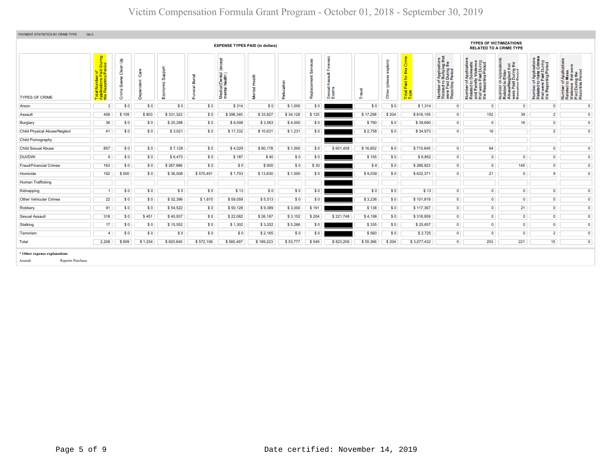| PAYMENT STATISTICS BY CRIME TYPE                            | Qtr:3                                        |                                            |         |                        |                 |                                              |                           |                |           |                  |          |                 |                                                         |                                                                                                                                        |                                                                                                                       |                                                                                                                                                        |                                                                                                                                |                                                                                                                      |
|-------------------------------------------------------------|----------------------------------------------|--------------------------------------------|---------|------------------------|-----------------|----------------------------------------------|---------------------------|----------------|-----------|------------------|----------|-----------------|---------------------------------------------------------|----------------------------------------------------------------------------------------------------------------------------------------|-----------------------------------------------------------------------------------------------------------------------|--------------------------------------------------------------------------------------------------------------------------------------------------------|--------------------------------------------------------------------------------------------------------------------------------|----------------------------------------------------------------------------------------------------------------------|
|                                                             |                                              |                                            |         |                        |                 | <b>EXPENSE TYPES PAID (in dollars)</b>       |                           |                |           |                  |          |                 |                                                         |                                                                                                                                        | <b>TYPES OF VICTIMIZATIONS</b>                                                                                        | <b>RELATED TO A CRIME TYPE</b>                                                                                                                         |                                                                                                                                |                                                                                                                      |
| <b>TYPES OF CRIME</b>                                       | During<br>iod<br><u> 일</u> 은 .<br><b>PER</b> | $\mathbf{B}$<br>듦<br>౼ౚఀ<br>Sœne<br>Φ<br>ò | Ő       | Support<br>≗<br>٤<br>ш | ᠊ᢎ<br>Ë<br>eral | except<br>Medical/Dental (<br>mental health) | $\overline{B}$<br>e<br>Ne | cation<br>Relo | ഗ<br>Repi | Sexual.<br>Exams | Travel   | £<br>Ğ<br>Other | $\overline{\delta}$<br>this<br>ᇃ<br>n.<br>Total<br>Type | f Applications<br>b Bullying that<br>I During the<br>Period<br>Number of <i>I</i><br>Related to <b>I</b><br>were Paid L<br>Reporting P | Number of Applications<br>Related to Domestic<br>and Family Violence<br>that were Paid During<br>the Reporting Period | <b>TE</b><br>Mplica<br>Elder<br>glect th<br>During 1<br>Pariod<br>Number of <i>)</i><br>Related to <b>I</b><br>Abuse/Neg<br>were Paid I<br>Reporting P | of Applications<br>o Hate Crimes<br>reaid During<br>rting Period<br>59<br>Number of<br>Related to<br>that were F<br>the Report | Application<br>Mass<br>Number of Applic<br>Related to Mass<br>Violence that w<br>Paid During the<br>Reporting Period |
| Arson                                                       | $\overline{2}$                               | \$0                                        | \$0     | \$0                    | \$0             | \$314                                        | \$0                       | \$1,000        | \$0       |                  | \$0      | \$0             | \$1,314                                                 | $\overline{0}$                                                                                                                         | $\overline{0}$                                                                                                        | $\circ$                                                                                                                                                | $\mathsf 0$                                                                                                                    | $\mathbf{0}$                                                                                                         |
| Assault                                                     | 458                                          | \$109                                      | \$803   | \$331,322              | \$0             | \$398,340                                    | \$33,827                  | \$34,128       | \$125     |                  | \$17,298 | \$204           | \$816,155                                               | $\overline{0}$                                                                                                                         | 152                                                                                                                   | 39                                                                                                                                                     | $\overline{2}$                                                                                                                 | $\mathbf 0$                                                                                                          |
| Burglary                                                    | 36                                           | \$0                                        | \$0     | \$25,298               | \$0             | \$6,008                                      | \$3,563                   | \$4,000        | \$0       |                  | \$790    | \$0             | \$39,660                                                | $\overline{0}$                                                                                                                         | $\overline{0}$                                                                                                        | 16                                                                                                                                                     | $\overline{0}$                                                                                                                 | $\overline{0}$                                                                                                       |
| Child Physical Abuse/Neglect                                | 41                                           | \$0                                        | \$0     | \$3,021                | \$0             | \$17,332                                     | \$10,631                  | \$1,231        | \$0       |                  | \$2,758  | \$0             | \$34,973                                                | $\overline{0}$                                                                                                                         | 16                                                                                                                    |                                                                                                                                                        | $\overline{2}$                                                                                                                 | $\overline{0}$                                                                                                       |
| Child Pornography                                           |                                              |                                            |         |                        |                 |                                              |                           |                |           |                  |          |                 |                                                         |                                                                                                                                        |                                                                                                                       |                                                                                                                                                        |                                                                                                                                |                                                                                                                      |
| Child Sexual Abuse                                          | 857                                          | \$0                                        | \$0     | \$7,128                | \$0             | \$4,029                                      | \$80,178                  | \$1,000        | \$0       | \$601,458        | \$16,852 | \$0             | \$710.645                                               | $\overline{0}$                                                                                                                         | 64                                                                                                                    |                                                                                                                                                        | $\circ$                                                                                                                        | $\circ$                                                                                                              |
| <b>DUI/DWI</b>                                              | 6                                            | \$0                                        | \$0     | \$6,470                | \$0             | \$187                                        | \$40                      | \$0            | \$0       |                  | \$155    | \$0             | \$6,852                                                 | $\overline{0}$                                                                                                                         | $\circ$                                                                                                               | $\circ$                                                                                                                                                | $\circ$                                                                                                                        | $\circ$                                                                                                              |
| Fraud/Financial Crimes                                      | 163                                          | \$0                                        | \$0     | \$267,986              | \$0             | \$0                                          | \$900                     | \$0            | \$30      |                  | \$8      | \$0             | \$268,923                                               | $\overline{0}$                                                                                                                         | $\mathbf 0$                                                                                                           | 145                                                                                                                                                    | $\overline{0}$                                                                                                                 | $\overline{0}$                                                                                                       |
| Homicide                                                    | 192                                          | \$500                                      | \$0     | \$36,008               | \$570,491       | \$1,703                                      | \$13,630                  | \$1,000        | \$0       |                  | \$9,039  | \$0             | \$632,371                                               | $\overline{0}$                                                                                                                         | 21                                                                                                                    | $\circ$                                                                                                                                                | 9                                                                                                                              | $\mathbf{0}$                                                                                                         |
| Human Trafficking                                           |                                              |                                            |         |                        |                 |                                              |                           |                |           |                  |          |                 |                                                         |                                                                                                                                        |                                                                                                                       |                                                                                                                                                        |                                                                                                                                |                                                                                                                      |
| Kidnapping                                                  | -1                                           | \$0                                        | \$0     | \$0                    | \$0             | \$13                                         | \$0                       | \$0            | \$0       |                  | \$0      | \$0             | \$13                                                    | $\overline{0}$                                                                                                                         | $\circ$                                                                                                               | $\overline{0}$                                                                                                                                         | $\overline{0}$                                                                                                                 | $\mathbf 0$                                                                                                          |
| <b>Other Vehicular Crimes</b>                               | 22                                           | \$0                                        | \$0     | \$32,396               | \$1,615         | \$59,059                                     | \$5,513                   | \$0            | \$0       |                  | \$3,236  | \$0             | \$101,819                                               | $\overline{0}$                                                                                                                         | $\circ$                                                                                                               | $\overline{0}$                                                                                                                                         | $\mathbf{0}$                                                                                                                   | $\overline{0}$                                                                                                       |
| Robbery                                                     | 91                                           | \$0                                        | \$0     | \$54,522               | \$0             | \$50,128                                     | \$9,389                   | \$3,000        | \$191     |                  | \$138    | \$0             | \$117,367                                               | $\overline{0}$                                                                                                                         | $\circ$                                                                                                               | 21                                                                                                                                                     | $\circ$                                                                                                                        | $\circ$                                                                                                              |
| Sexual Assault                                              | 318                                          | \$0                                        | \$451   | \$40,937               | \$0             | \$22,082                                     | \$26,187                  | \$3,152        | \$204     | \$221,748        | \$4,198  | \$0             | \$318,959                                               | $\overline{0}$                                                                                                                         | $\circ$                                                                                                               | $\mathbf 0$                                                                                                                                            | $\circ$                                                                                                                        | $\mathbf 0$                                                                                                          |
| Stalking                                                    | 17                                           | \$0                                        | \$0     | \$15,552               | \$0             | \$1,302                                      | \$3,202                   | \$5,266        | \$0       |                  | \$335    | \$0             | \$25,657                                                | $\overline{0}$                                                                                                                         | $\overline{0}$                                                                                                        | $\overline{0}$                                                                                                                                         | $\circ$                                                                                                                        | $\overline{0}$                                                                                                       |
| Terrorism                                                   | $\overline{a}$                               | \$0                                        | \$0     | \$0                    | \$0             | \$0                                          | \$2,165                   | \$0            | \$0       |                  | \$560    | \$0             | \$2,725                                                 | $\overline{0}$                                                                                                                         | $\circ$                                                                                                               | $\circ$                                                                                                                                                | $\overline{2}$                                                                                                                 | $\mathsf 0$                                                                                                          |
| Total                                                       | 2,208                                        | \$609                                      | \$1,254 | \$820,640              | \$572,106       | \$560,497                                    | \$189,223                 | \$53,777       | \$549     | \$823,206        | \$55,366 | \$204           | \$3,077,432                                             | $\circ$                                                                                                                                | 253                                                                                                                   | 221                                                                                                                                                    | 15                                                                                                                             | $\mathbf{0}$                                                                                                         |
| * Other expense explanations<br>Reports Purchase<br>Assault |                                              |                                            |         |                        |                 |                                              |                           |                |           |                  |          |                 |                                                         |                                                                                                                                        |                                                                                                                       |                                                                                                                                                        |                                                                                                                                |                                                                                                                      |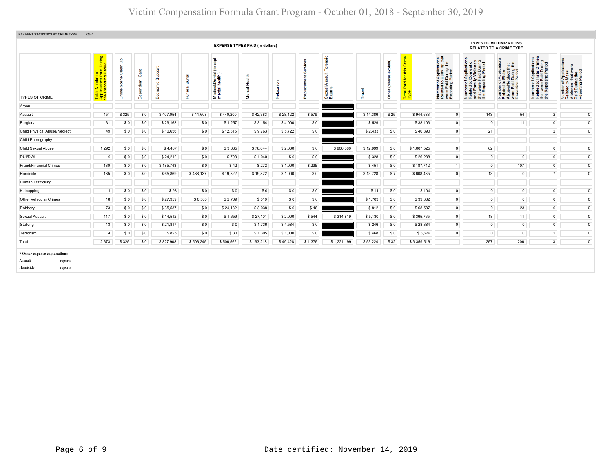| PAYMENT STATISTICS BY CRIME TYPE | Qtr:4                                                      |                                      |              |                   |                |                                               |                                        |             |                 |                                                       |               |                       |                                         |                                                                                                                                  |                                                                                                                                                     |                                                                                                                                                                   |                                                                                                   |                                                                                                                             |
|----------------------------------|------------------------------------------------------------|--------------------------------------|--------------|-------------------|----------------|-----------------------------------------------|----------------------------------------|-------------|-----------------|-------------------------------------------------------|---------------|-----------------------|-----------------------------------------|----------------------------------------------------------------------------------------------------------------------------------|-----------------------------------------------------------------------------------------------------------------------------------------------------|-------------------------------------------------------------------------------------------------------------------------------------------------------------------|---------------------------------------------------------------------------------------------------|-----------------------------------------------------------------------------------------------------------------------------|
|                                  |                                                            |                                      |              |                   |                |                                               | <b>EXPENSE TYPES PAID (in dollars)</b> |             |                 |                                                       |               |                       |                                         |                                                                                                                                  |                                                                                                                                                     | <b>TYPES OF VICTIMIZATIONS</b><br><b>RELATED TO A CRIME TYPE</b>                                                                                                  |                                                                                                   |                                                                                                                             |
| <b>TYPES OF CRIME</b>            | During<br>iod<br>aid<br>Peri<br>otal Nu<br>pplicati<br>⊩∢: | $\mathbf{S}$<br>ဦ<br>Sœne<br>e۳<br>ŏ | $\circ$<br>C | Support<br>്<br>ŵ | Funeral Burial | (except<br>Medical/Dental (<br>mental health) | £<br>운<br><b>Tell</b><br>š             | cation<br>၉ | යී<br>٣<br>Repl | ensic<br>ទួ<br>$\frac{4}{3}$<br>⋖<br>Sexual,<br>Exams | <b>Travel</b> | (mieldx<br>Ğ<br>Other | this Crime<br>Paid for<br>Total<br>Type | f Applications<br>b Bullying that<br>Period<br>Period<br>Number of <i>I</i><br>Related to <b>E</b><br>were Paid L<br>Reporting P | r of Applications<br>d to Domestic<br>umily Violence<br>ne Paid During<br>porting Period<br>Number<br>Related t<br>and Fam<br>that were<br>the Repo | TApplication<br>b Elder<br>sglect that<br>During the<br>Period<br>mper or,<br>lated to I<br>use/Nega<br>re Paid I<br>contino F<br>Numt<br>Relate<br>Abus<br>Renoi | Number of Applications<br>Related to Hate Crimes<br>that were Paid During<br>the Reporting Period | δ<br>Number of Applicat<br>Related to Mass<br>Violence that were<br>Paid During the<br>Reporting Period<br>6.2 <sub>0</sub> |
| Arson                            |                                                            |                                      |              |                   |                |                                               |                                        |             |                 |                                                       |               |                       |                                         |                                                                                                                                  |                                                                                                                                                     |                                                                                                                                                                   |                                                                                                   |                                                                                                                             |
| Assault                          | 451                                                        | \$325                                | \$0          | \$407,054         | \$11,608       | \$440,200                                     | \$42,383                               | \$28,122    | \$579           |                                                       | \$14,386      | \$25                  | \$944,683                               | $\overline{0}$                                                                                                                   | 143                                                                                                                                                 | 54                                                                                                                                                                | $\overline{2}$                                                                                    | $\overline{0}$                                                                                                              |
| Burglary                         | 31                                                         | \$0                                  | \$0          | \$29,163          | \$0            | \$1,257                                       | \$3,154                                | \$4,000     | \$0             |                                                       | \$529         |                       | \$38,103                                | $\overline{0}$                                                                                                                   | $\circ$                                                                                                                                             | 11                                                                                                                                                                | $\overline{0}$                                                                                    | $\overline{0}$                                                                                                              |
| Child Physical Abuse/Neglect     | 49                                                         | \$0                                  | \$0          | \$10,656          | \$0            | \$12,316                                      | \$9,763                                | \$5,722     | \$0             |                                                       | \$2,433       | \$0                   | \$40,890                                | $\overline{0}$                                                                                                                   | 21                                                                                                                                                  |                                                                                                                                                                   | $\overline{2}$                                                                                    | $\circ$                                                                                                                     |
| Child Pornography                |                                                            |                                      |              |                   |                |                                               |                                        |             |                 |                                                       |               |                       |                                         |                                                                                                                                  |                                                                                                                                                     |                                                                                                                                                                   |                                                                                                   |                                                                                                                             |
| Child Sexual Abuse               | 1,292                                                      | \$0                                  | \$0          | \$4,467           | \$0            | \$3,635                                       | \$78,044                               | \$2,000     | \$0             | \$906,380                                             | \$12,999      | \$0                   | \$1,007,525                             | $\overline{0}$                                                                                                                   | 62                                                                                                                                                  |                                                                                                                                                                   | $\overline{0}$                                                                                    | $\overline{0}$                                                                                                              |
| <b>DUI/DWI</b>                   | 9                                                          | \$0                                  | \$0          | \$24,212          | \$0            | \$708                                         | \$1,040                                | \$0         | \$0             |                                                       | \$328         | \$0                   | \$26,288                                | $\circ$                                                                                                                          | $\circ$                                                                                                                                             | $\circ$                                                                                                                                                           | $\mathbf{0}$                                                                                      | $\mathbf{0}$                                                                                                                |
| Fraud/Financial Crimes           | 130                                                        | \$0                                  | \$0          | \$185,743         | \$0            | \$42                                          | \$272                                  | \$1,000     | \$235           |                                                       | \$451         | \$0                   | \$187,742                               | 1                                                                                                                                | $\circ$                                                                                                                                             | 107                                                                                                                                                               | $\mathbf{0}$                                                                                      | $\mathbf{0}$                                                                                                                |
| Homicide                         | 185                                                        | \$0                                  | \$0          | \$65,869          | \$488,137      | \$19,822                                      | \$19,872                               | \$1,000     | \$0             |                                                       | \$13,728      | \$7                   | \$608,435                               | $\overline{0}$                                                                                                                   | 13                                                                                                                                                  | $\overline{0}$                                                                                                                                                    | 7 <sup>1</sup>                                                                                    | $\overline{0}$                                                                                                              |
| Human Trafficking                |                                                            |                                      |              |                   |                |                                               |                                        |             |                 |                                                       |               |                       |                                         |                                                                                                                                  |                                                                                                                                                     |                                                                                                                                                                   |                                                                                                   |                                                                                                                             |
| Kidnapping                       |                                                            | \$0                                  | \$0          | \$93              | \$0            | \$0                                           | \$0                                    | \$0         | \$0             |                                                       | \$11          | \$0                   | \$104                                   | $\overline{0}$                                                                                                                   | $\circ$                                                                                                                                             | $\circ$                                                                                                                                                           | $\mathbf{0}$                                                                                      | $\mathbf{0}$                                                                                                                |
| Other Vehicular Crimes           | 18                                                         | \$0                                  | \$0          | \$27,959          | \$6,500        | \$2,709                                       | \$510                                  | \$0         | \$0             |                                                       | \$1,703       | \$0                   | \$39,382                                | $\overline{0}$                                                                                                                   | $\mathbf 0$                                                                                                                                         | $\circ$                                                                                                                                                           | $\overline{0}$                                                                                    | $\overline{0}$                                                                                                              |
| Robbery                          | 73                                                         | \$0                                  | \$0          | \$35,537          | \$0            | \$24,182                                      | \$8,038                                | \$0         | \$18            |                                                       | \$812         | \$0                   | \$68,587                                | $\overline{0}$                                                                                                                   | $\overline{0}$                                                                                                                                      | 23                                                                                                                                                                | $\mathbf{0}$                                                                                      | $\mathbf{0}$                                                                                                                |
| Sexual Assault                   | 417                                                        | \$0                                  | \$0          | \$14,512          | \$0            | \$1,659                                       | \$27,101                               | \$2,000     | \$544           | \$314,819                                             | \$5,130       | \$0                   | \$365,765                               | $\overline{0}$                                                                                                                   | 18                                                                                                                                                  | 11                                                                                                                                                                | $\circ$                                                                                           | $\mathbf{0}$                                                                                                                |
| Stalking                         | 13                                                         | \$0                                  | \$0          | \$21,817          | \$0            | \$0                                           | \$1,736                                | \$4,584     | \$0             |                                                       | \$246         | \$0                   | \$28,384                                | $\overline{0}$                                                                                                                   | $\circ$                                                                                                                                             | $\circ$                                                                                                                                                           | $\overline{0}$                                                                                    | $\overline{0}$                                                                                                              |
| Terrorism                        |                                                            | \$0                                  | \$0          | \$825             | \$0            | \$30                                          | \$1,305                                | \$1,000     | \$0             |                                                       | \$468         | \$0                   | \$3,629                                 | $\overline{0}$                                                                                                                   | $\overline{0}$                                                                                                                                      | $\overline{0}$                                                                                                                                                    | 2 <sup>1</sup>                                                                                    | $\mathbf{0}$                                                                                                                |
| Total                            | 2,673                                                      | \$325                                | \$0          | \$827,908         | \$506,245      | \$506,562                                     | \$193,218                              | \$49,428    | \$1,375         | \$1,221,199                                           | \$53,224      | \$32                  | \$3,359,516                             | 1                                                                                                                                | 257                                                                                                                                                 | 206                                                                                                                                                               | 13                                                                                                | $\mathbf{0}$                                                                                                                |
| * Other expense explanations     |                                                            |                                      |              |                   |                |                                               |                                        |             |                 |                                                       |               |                       |                                         |                                                                                                                                  |                                                                                                                                                     |                                                                                                                                                                   |                                                                                                   |                                                                                                                             |
| Assault<br>reports               |                                                            |                                      |              |                   |                |                                               |                                        |             |                 |                                                       |               |                       |                                         |                                                                                                                                  |                                                                                                                                                     |                                                                                                                                                                   |                                                                                                   |                                                                                                                             |
| Homicide<br>reports              |                                                            |                                      |              |                   |                |                                               |                                        |             |                 |                                                       |               |                       |                                         |                                                                                                                                  |                                                                                                                                                     |                                                                                                                                                                   |                                                                                                   |                                                                                                                             |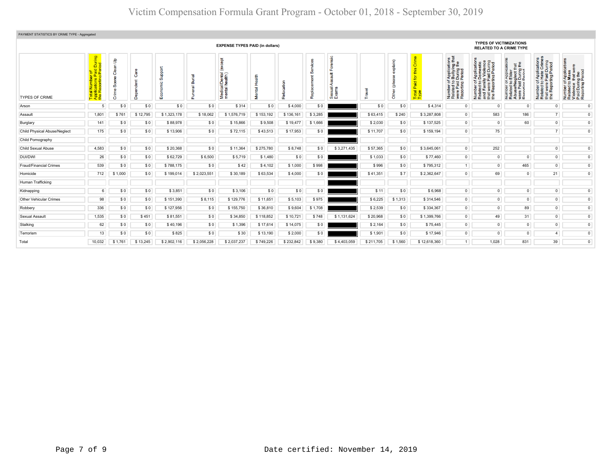| PAYMENT STATISTICS BY CRIME TYPE - Aggregated |                                                                          |                                         |          |                     |                           |                                                   |           |           |         |                                  |                        |                            |               |                                                                                                                    |                                                                                                                                                                      |                                                                                                                                                                      |                                                                                                                        |                                                                                                                                                        |  |
|-----------------------------------------------|--------------------------------------------------------------------------|-----------------------------------------|----------|---------------------|---------------------------|---------------------------------------------------|-----------|-----------|---------|----------------------------------|------------------------|----------------------------|---------------|--------------------------------------------------------------------------------------------------------------------|----------------------------------------------------------------------------------------------------------------------------------------------------------------------|----------------------------------------------------------------------------------------------------------------------------------------------------------------------|------------------------------------------------------------------------------------------------------------------------|--------------------------------------------------------------------------------------------------------------------------------------------------------|--|
|                                               | <b>EXPENSE TYPES PAID (in dollars)</b>                                   |                                         |          |                     |                           |                                                   |           |           |         |                                  |                        |                            |               | <b>TYPES OF VICTIMIZATIONS</b><br><b>RELATED TO A CRIME TYPE</b>                                                   |                                                                                                                                                                      |                                                                                                                                                                      |                                                                                                                        |                                                                                                                                                        |  |
| <b>TYPES OF CRIME</b>                         | During<br>iod<br>$\overline{2}$ $\overline{6}$<br>Repor<br>E de<br>Refer | $\mathbf{S}$<br>层<br>ဒီ<br>C.<br>Æ<br>ō |          | ppp<br>Ø<br>8<br>шĭ | ᠊ᢛ<br>ã<br>$\overline{a}$ | <b>Tako</b><br>Medical/Dental (<br>mental health) |           | နိ        | Repl    | Sic<br>÷<br>exual<br>Isuxe<br>மை | $\overline{\Phi}$<br>ē | $p$ lain $p$<br>١e<br>Othe | Total<br>Type | ons<br>that<br>f Application<br>Bullying<br>Period<br>Period<br>5.25m<br>Number<br>Related<br>were Pai<br>Reportin | ie g<br>g a<br>ily Violer<br>Paid Dur<br>ting Peri<br>Appli<br>Dome<br>y Viol<br>59<br>: ខ ន្ថ<br><b>B</b><br>B<br>Ean<br>wer<br>Repo<br>Numl<br>Relat<br><b>THE</b> | cation<br>$\frac{4}{5}$<br><b>Paplica</b><br>Elder<br>glect the<br>During<br>Period<br>Paid<br><b>Paid</b><br>Paid<br>Paid<br>Hinn F<br>Number<br>Related<br>i 2 s ã | mber of Applications<br>lated to Hate Crimes<br>at were Paid During<br>» Reporting Period<br>Number<br>Related t<br>Ē£ | plicatie<br>ISS<br>$\Phi$<br>r of Appli<br>1 to Mass<br>ce that w<br>uring the<br>ng Perio<br>Number<br>Related t<br>Violence<br>Paid Dur<br>Reporting |  |
| Arson                                         | $5^{\circ}$                                                              | \$0                                     | SO.      | \$0                 | \$0                       | \$314                                             | \$0       | \$4,000   | \$0     |                                  | \$0                    | \$0                        | \$4.314       | $\overline{0}$                                                                                                     | $^{\circ}$                                                                                                                                                           | $\mathbf{0}$                                                                                                                                                         | $\Omega$                                                                                                               | $\circ$                                                                                                                                                |  |
| Assault                                       | 1,801                                                                    | \$761                                   | \$12,795 | \$1,323,178         | \$18,062                  | \$1,576,719                                       | \$153,192 | \$136,161 | \$3,285 |                                  | \$63,415               | \$240                      | \$3,287,808   | $\circ$                                                                                                            | 583                                                                                                                                                                  | 186                                                                                                                                                                  | 7                                                                                                                      | $\mathsf 0$                                                                                                                                            |  |
| Burglary                                      | 141                                                                      | \$0                                     | \$0      | \$88,978            | \$0                       | \$15,866                                          | \$9,508   | \$19,477  | \$1,666 |                                  | \$2,030                | \$0                        | \$137,525     | $\overline{0}$                                                                                                     | $\circ$                                                                                                                                                              | 60                                                                                                                                                                   | $\overline{0}$                                                                                                         | $\overline{0}$                                                                                                                                         |  |
| Child Physical Abuse/Neglect                  | 175                                                                      | \$0                                     | \$0      | \$13,906            | \$0                       | \$72,115                                          | \$43,513  | \$17,953  | \$0     |                                  | \$11,707               | \$0                        | \$159,194     | $\overline{0}$                                                                                                     | 75                                                                                                                                                                   |                                                                                                                                                                      | 7 <sup>1</sup>                                                                                                         | $\circ$                                                                                                                                                |  |
| Child Pornography                             |                                                                          |                                         |          |                     |                           |                                                   |           |           |         |                                  |                        |                            |               |                                                                                                                    |                                                                                                                                                                      |                                                                                                                                                                      |                                                                                                                        |                                                                                                                                                        |  |
| Child Sexual Abuse                            | 4,583                                                                    | \$0                                     | \$0      | \$20,368            | \$0                       | \$11,364                                          | \$275,780 | \$8,748   | \$0     | \$3,271,435                      | \$57,365               | \$0                        | \$3,645,061   | $\circ$                                                                                                            | 252                                                                                                                                                                  |                                                                                                                                                                      | $\circ$                                                                                                                | $\overline{0}$                                                                                                                                         |  |
| DUI/DWI                                       | 26                                                                       | \$0                                     | \$0      | \$62,729            | \$6,500                   | \$5,719                                           | \$1,480   | \$0       | \$0     |                                  | \$1,033                | \$0                        | \$77,460      | $\circ$                                                                                                            | $\circ$                                                                                                                                                              | $\mathbf 0$                                                                                                                                                          | $\mathbf{0}$                                                                                                           | $\circ$                                                                                                                                                |  |
| Fraud/Financial Crimes                        | 539                                                                      | \$0                                     | \$0      | \$788,175           | \$0                       | \$42                                              | \$4,102   | \$1,000   | \$998   |                                  | \$996                  | \$0                        | \$795,312     | 1                                                                                                                  | $\circ$                                                                                                                                                              | 465                                                                                                                                                                  | $\mathbf{0}$                                                                                                           | $\mathsf 0$                                                                                                                                            |  |
| Homicide                                      | 712                                                                      | \$1,000                                 | \$0      | \$199,014           | \$2,023,551               | \$30,189                                          | \$63,534  | \$4,000   | \$0     |                                  | \$41,351               | \$7                        | \$2,362,647   | $\circ$                                                                                                            | 69                                                                                                                                                                   | $\mathbf{0}$                                                                                                                                                         | 21                                                                                                                     | $\circ$                                                                                                                                                |  |
| Human Trafficking                             |                                                                          |                                         |          |                     |                           |                                                   |           |           |         |                                  |                        |                            |               |                                                                                                                    |                                                                                                                                                                      |                                                                                                                                                                      |                                                                                                                        |                                                                                                                                                        |  |
| Kidnapping                                    | 6                                                                        | \$0                                     | \$0      | \$3,851             | \$0                       | \$3,106                                           | \$0       | \$0       | \$0     |                                  | \$11                   | \$0                        | \$6,968       | $\circ$                                                                                                            | $\circ$                                                                                                                                                              | $\overline{0}$                                                                                                                                                       | $\mathbf{0}$                                                                                                           | $\mathbf{0}$                                                                                                                                           |  |
| <b>Other Vehicular Crimes</b>                 | 98                                                                       | \$0                                     | \$0      | \$151,390           | \$8,115                   | \$129,776                                         | \$11,651  | \$5,103   | \$975   |                                  | \$6,225                | \$1,313                    | \$314,546     | $\overline{0}$                                                                                                     | $\circ$                                                                                                                                                              | $\overline{0}$                                                                                                                                                       | $\mathbf{0}$                                                                                                           | $\circ$                                                                                                                                                |  |
| Robbery                                       | 336                                                                      | \$0                                     | \$0      | \$127,956           | \$0                       | \$155,750                                         | \$36,810  | \$9,604   | \$1,708 |                                  | \$2,539                | \$0                        | \$334,367     | $\circ$                                                                                                            | $\circ$                                                                                                                                                              | 89                                                                                                                                                                   | $\mathbf{0}$                                                                                                           | $\mathbf{0}$                                                                                                                                           |  |
| Sexual Assault                                | 1,535                                                                    | \$0                                     | \$451    | \$81,551            | \$0                       | \$34,850                                          | \$118,852 | \$10,721  | \$748   | \$1,131,624                      | \$20,968               | \$0                        | \$1,399,766   | $\circ$                                                                                                            | 49                                                                                                                                                                   | 31                                                                                                                                                                   | $\overline{0}$                                                                                                         | $\mathsf 0$                                                                                                                                            |  |
| Stalking                                      | 62                                                                       | \$0                                     | \$0      | \$40,196            | \$0                       | \$1,396                                           | \$17,614  | \$14,075  | \$0     |                                  | \$2,164                | \$0                        | \$75,445      | $\circ$                                                                                                            | $\circ$                                                                                                                                                              | $\overline{0}$                                                                                                                                                       | $\circ$                                                                                                                | $\overline{0}$                                                                                                                                         |  |
| Terrorism                                     | 13                                                                       | \$0                                     | \$0      | \$825               | \$0                       | \$30                                              | \$13,190  | \$2,000   | \$0     |                                  | \$1,901                | \$0                        | \$17,946      | $\circ$                                                                                                            | $\circ$                                                                                                                                                              | $\overline{0}$                                                                                                                                                       | 4 <sup>1</sup>                                                                                                         | $\mathsf 0$                                                                                                                                            |  |
| Total                                         | 10,032                                                                   | \$1,761                                 | \$13,245 | \$2,902,116         | \$2,056,228               | \$2,037,237                                       | \$749,226 | \$232,842 | \$9,380 | \$4,403,059                      | \$211,705              | \$1,560                    | \$12,618,360  | 1                                                                                                                  | 1,028                                                                                                                                                                | 831                                                                                                                                                                  | 39                                                                                                                     | $\mathsf 0$                                                                                                                                            |  |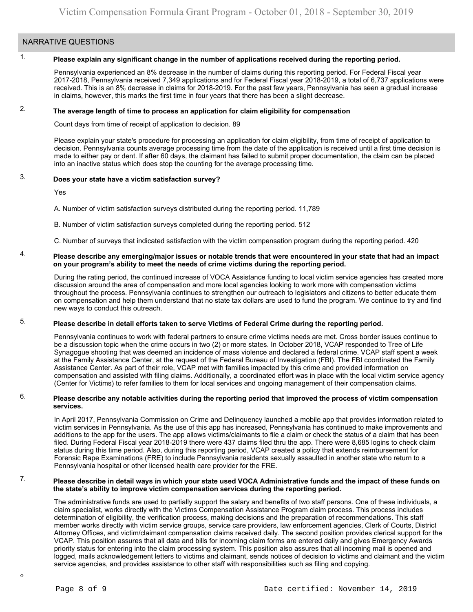### NARRATIVE QUESTIONS

#### 1. **Please explain any significant change in the number of applications received during the reporting period.**

Pennsylvania experienced an 8% decrease in the number of claims during this reporting period. For Federal Fiscal year 2017-2018, Pennsylvania received 7,349 applications and for Federal Fiscal year 2018-2019, a total of 6,737 applications were received. This is an 8% decrease in claims for 2018-2019. For the past few years, Pennsylvania has seen a gradual increase in claims, however, this marks the first time in four years that there has been a slight decrease.

#### 2. **The average length of time to process an application for claim eligibility for compensation**

Count days from time of receipt of application to decision. 89

Please explain your state's procedure for processing an application for claim eligibility, from time of receipt of application to decision. Pennsylvania counts average processing time from the date of the application is received until a first time decision is made to either pay or dent. If after 60 days, the claimant has failed to submit proper documentation, the claim can be placed into an inactive status which does stop the counting for the average processing time.

#### 3. **Does your state have a victim satisfaction survey?**

Yes

A. Number of victim satisfaction surveys distributed during the reporting period. 11,789

B. Number of victim satisfaction surveys completed during the reporting period. 512

C. Number of surveys that indicated satisfaction with the victim compensation program during the reporting period. 420

#### 4. **Please describe any emerging/major issues or notable trends that were encountered in your state that had an impact on your program's ability to meet the needs of crime victims during the reporting period.**

During the rating period, the continued increase of VOCA Assistance funding to local victim service agencies has created more discussion around the area of compensation and more local agencies looking to work more with compensation victims throughout the process. Pennsylvania continues to strengthen our outreach to legislators and citizens to better educate them on compensation and help them understand that no state tax dollars are used to fund the program. We continue to try and find new ways to conduct this outreach.

#### 5. **Please describe in detail efforts taken to serve Victims of Federal Crime during the reporting period.**

Pennsylvania continues to work with federal partners to ensure crime victims needs are met. Cross border issues continue to be a discussion topic when the crime occurs in two (2) or more states. In October 2018, VCAP responded to Tree of Life Synagogue shooting that was deemed an incidence of mass violence and declared a federal crime. VCAP staff spent a week at the Family Assistance Center, at the request of the Federal Bureau of Investigation (FBI). The FBI coordinated the Family Assistance Center. As part of their role, VCAP met with families impacted by this crime and provided information on compensation and assisted with filing claims. Additionally, a coordinated effort was in place with the local victim service agency (Center for Victims) to refer families to them for local services and ongoing management of their compensation claims.

### 6. **Please describe any notable activities during the reporting period that improved the process of victim compensation services.**

In April 2017, Pennsylvania Commission on Crime and Delinquency launched a mobile app that provides information related to victim services in Pennsylvania. As the use of this app has increased, Pennsylvania has continued to make improvements and additions to the app for the users. The app allows victims/claimants to file a claim or check the status of a claim that has been filed. During Federal Fiscal year 2018-2019 there were 437 claims filed thru the app. There were 8,685 logins to check claim status during this time period. Also, during this reporting period, VCAP created a policy that extends reimbursement for Forensic Rape Examinations (FRE) to include Pennsylvania residents sexually assaulted in another state who return to a Pennsylvania hospital or other licensed health care provider for the FRE.

#### 7. **Please describe in detail ways in which your state used VOCA Administrative funds and the impact of these funds on the state's ability to improve victim compensation services during the reporting period.**

The administrative funds are used to partially support the salary and benefits of two staff persons. One of these individuals, a claim specialist, works directly with the Victims Compensation Assistance Program claim process. This process includes determination of eligibility, the verification process, making decisions and the preparation of recommendations. This staff member works directly with victim service groups, service care providers, law enforcement agencies, Clerk of Courts, District Attorney Offices, and victim/claimant compensation claims received daily. The second position provides clerical support for the VCAP. This position assures that all data and bills for incoming claim forms are entered daily and gives Emergency Awards priority status for entering into the claim processing system. This position also assures that all incoming mail is opened and logged, mails acknowledgement letters to victims and claimant, sends notices of decision to victims and claimant and the victim service agencies, and provides assistance to other staff with responsibilities such as filing and copying.